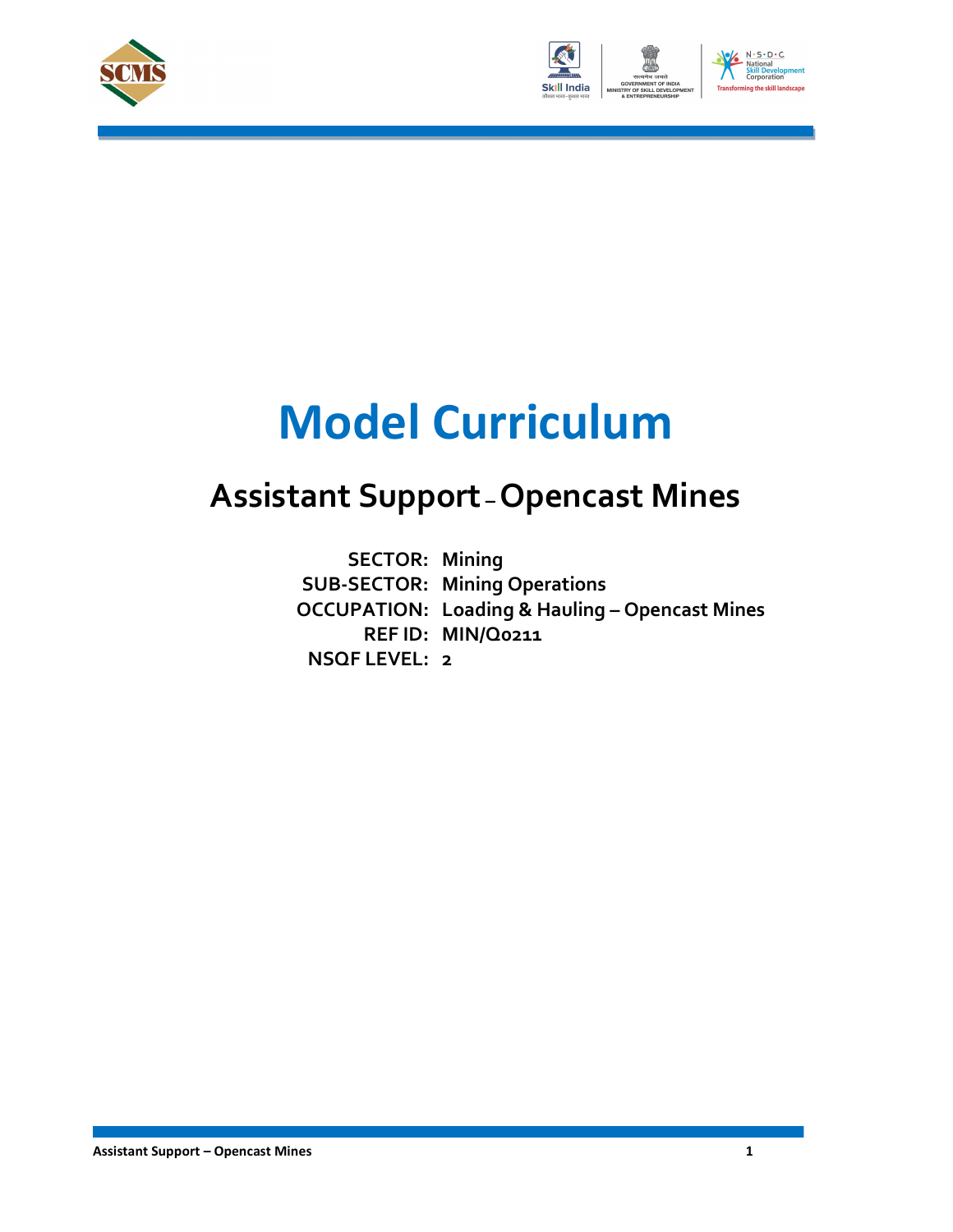



# Model Curriculum

### Assistant Support – Opencast Mines

SECTOR: Mining<br>SUB-SECTOR: Mining Operations<br>OCCUPATION: Loading & Hauling – Opencast Mines SUB-SECTOR: Mining Operations REF ID: MIN/Q0211 NSQF LEVEL: 2 **SECTOR: Mining**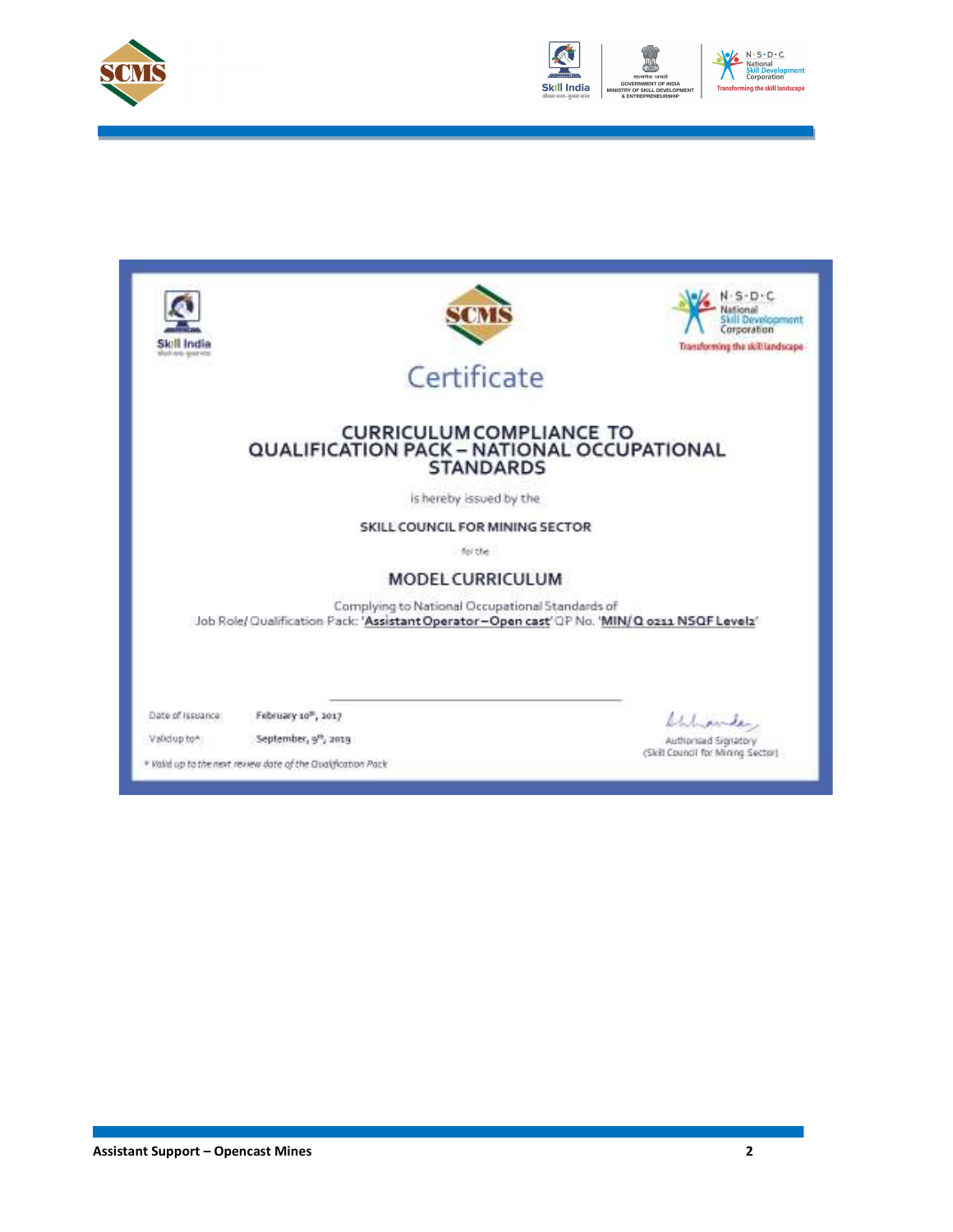



| ili India<br><b>Rock Area-America</b> | SOV                                                                                                                                              | evelopment<br>Corporation<br>Transforming the skill landscape           |
|---------------------------------------|--------------------------------------------------------------------------------------------------------------------------------------------------|-------------------------------------------------------------------------|
|                                       | Certificate                                                                                                                                      |                                                                         |
|                                       | <b>CURRICULUM COMPLIANCE TO</b><br>QUALIFICATION PACK - NATIONAL OCCUPATIONAL<br><b>STANDARDS</b>                                                |                                                                         |
|                                       | is hereby issued by the                                                                                                                          |                                                                         |
|                                       | SKILL COUNCIL FOR MINING SECTOR                                                                                                                  |                                                                         |
|                                       | for the                                                                                                                                          |                                                                         |
|                                       | <b>MODEL CURRICULUM</b>                                                                                                                          |                                                                         |
|                                       | Complying to National Occupational Standards of<br>Job Role/ Qualification Pack: 'Assistant Operator-Open cast' QP No. 'MIN/ Q oz11 NSQF Levelz' |                                                                         |
| Date of Issuance:<br>Validup to *     | February 10 <sup>m</sup> , 1017<br>September, 9th, 2019<br>* Valid up to the next review date of the Qualification Pack                          | Wilmounder<br>Authorised Signatory<br>(Skill Council for Mining Sector) |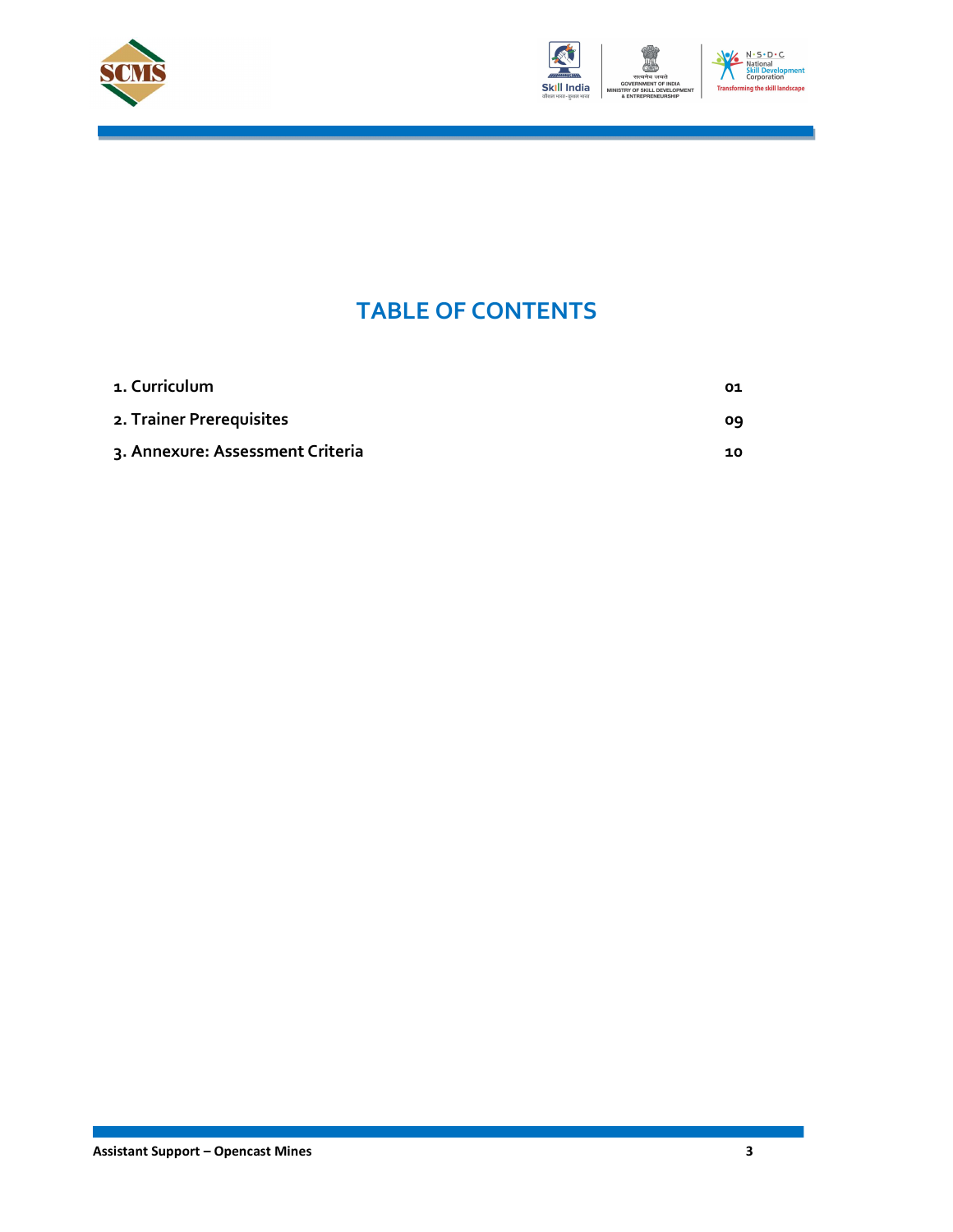



### TABLE OF CONTENTS

| 1. Curriculum                    | 01 |
|----------------------------------|----|
| 2. Trainer Prerequisites         | ٥q |
| 3. Annexure: Assessment Criteria | 10 |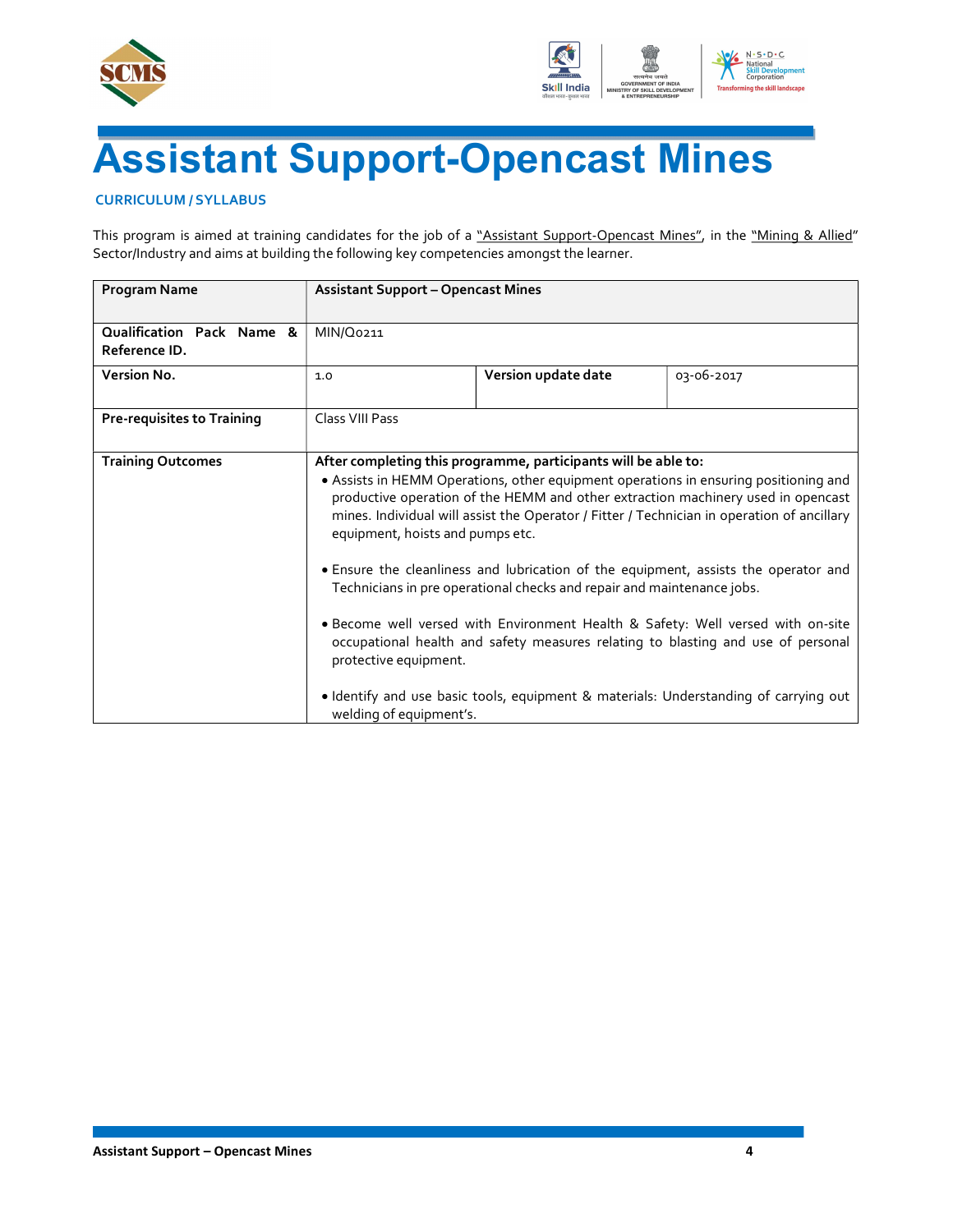



## Assistant Support-Opencast Mines

#### CURRICULUM / SYLLABUS

This program is aimed at training candidates for the job of a "Assistant Support-Opencast Mines", in the "Mining & Allied" Sector/Industry and aims at building the following key competencies amongst the learner.

| <b>Program Name</b>                        |                                                                                      | <b>Assistant Support - Opencast Mines</b>                                                                                                |                                                                                                                                                                                                                                                                                                                                                                                                                                                                                                                                                                                                                              |  |  |  |
|--------------------------------------------|--------------------------------------------------------------------------------------|------------------------------------------------------------------------------------------------------------------------------------------|------------------------------------------------------------------------------------------------------------------------------------------------------------------------------------------------------------------------------------------------------------------------------------------------------------------------------------------------------------------------------------------------------------------------------------------------------------------------------------------------------------------------------------------------------------------------------------------------------------------------------|--|--|--|
| Qualification Pack Name &<br>Reference ID. | MIN/Q0211                                                                            |                                                                                                                                          |                                                                                                                                                                                                                                                                                                                                                                                                                                                                                                                                                                                                                              |  |  |  |
| Version No.                                | 1.0                                                                                  | Version update date                                                                                                                      | 03-06-2017                                                                                                                                                                                                                                                                                                                                                                                                                                                                                                                                                                                                                   |  |  |  |
| <b>Pre-requisites to Training</b>          | Class VIII Pass                                                                      |                                                                                                                                          |                                                                                                                                                                                                                                                                                                                                                                                                                                                                                                                                                                                                                              |  |  |  |
| <b>Training Outcomes</b>                   | equipment, hoists and pumps etc.<br>protective equipment.<br>welding of equipment's. | After completing this programme, participants will be able to:<br>Technicians in pre operational checks and repair and maintenance jobs. | . Assists in HEMM Operations, other equipment operations in ensuring positioning and<br>productive operation of the HEMM and other extraction machinery used in opencast<br>mines. Individual will assist the Operator / Fitter / Technician in operation of ancillary<br>• Ensure the cleanliness and lubrication of the equipment, assists the operator and<br>· Become well versed with Environment Health & Safety: Well versed with on-site<br>occupational health and safety measures relating to blasting and use of personal<br>. Identify and use basic tools, equipment & materials: Understanding of carrying out |  |  |  |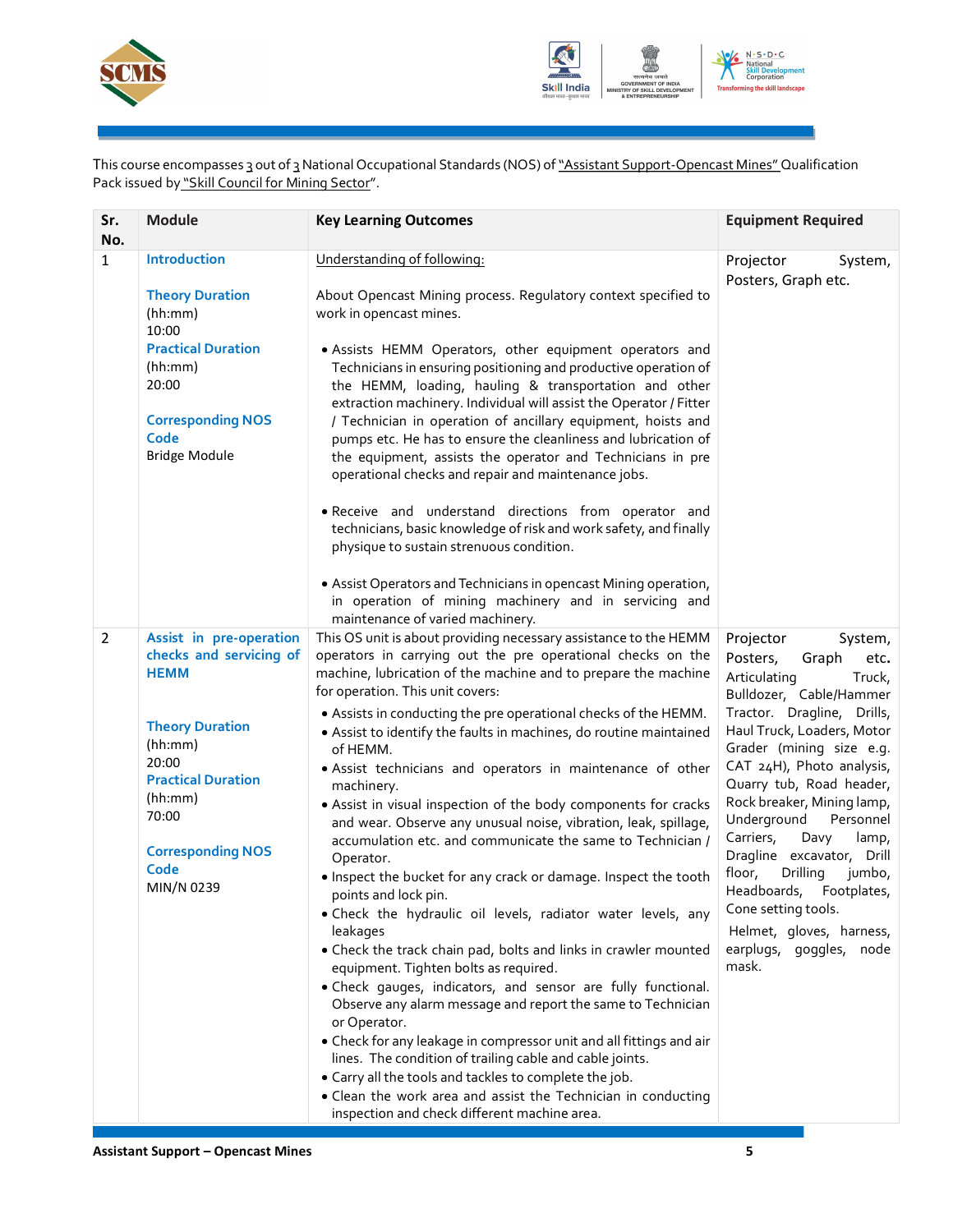



This course encompasses 3 out of 3 National Occupational Standards (NOS) of "Assistant Support-Opencast Mines" Qualification Pack issued by "Skill Council for Mining Sector".

| Sr.<br>No.     | <b>Module</b>                                                                                                                                                                                                      | <b>Key Learning Outcomes</b>                                                                                                                                                                                                                                                                                                                                                                                                                                                                                                                                                                                                                                                                                                                                                                                                                                                                                                                                                                                                                                                                                                                                                                                                                                                                                                                                                                                                            | <b>Equipment Required</b>                                                                                                                                                                                                                                                                                                                                                                                                                                                                                                      |
|----------------|--------------------------------------------------------------------------------------------------------------------------------------------------------------------------------------------------------------------|-----------------------------------------------------------------------------------------------------------------------------------------------------------------------------------------------------------------------------------------------------------------------------------------------------------------------------------------------------------------------------------------------------------------------------------------------------------------------------------------------------------------------------------------------------------------------------------------------------------------------------------------------------------------------------------------------------------------------------------------------------------------------------------------------------------------------------------------------------------------------------------------------------------------------------------------------------------------------------------------------------------------------------------------------------------------------------------------------------------------------------------------------------------------------------------------------------------------------------------------------------------------------------------------------------------------------------------------------------------------------------------------------------------------------------------------|--------------------------------------------------------------------------------------------------------------------------------------------------------------------------------------------------------------------------------------------------------------------------------------------------------------------------------------------------------------------------------------------------------------------------------------------------------------------------------------------------------------------------------|
| $\mathbf{1}$   | Introduction<br><b>Theory Duration</b><br>(hh:mm)<br>10:00<br><b>Practical Duration</b><br>(hh:mm)<br>20:00<br><b>Corresponding NOS</b><br>Code<br><b>Bridge Module</b>                                            | Understanding of following:<br>About Opencast Mining process. Regulatory context specified to<br>work in opencast mines.<br>· Assists HEMM Operators, other equipment operators and<br>Technicians in ensuring positioning and productive operation of<br>the HEMM, loading, hauling & transportation and other<br>extraction machinery. Individual will assist the Operator / Fitter<br>/ Technician in operation of ancillary equipment, hoists and<br>pumps etc. He has to ensure the cleanliness and lubrication of<br>the equipment, assists the operator and Technicians in pre<br>operational checks and repair and maintenance jobs.<br>· Receive and understand directions from operator and<br>technicians, basic knowledge of risk and work safety, and finally<br>physique to sustain strenuous condition.<br>• Assist Operators and Technicians in opencast Mining operation,<br>in operation of mining machinery and in servicing and<br>maintenance of varied machinery.                                                                                                                                                                                                                                                                                                                                                                                                                                                 | Projector<br>System,<br>Posters, Graph etc.                                                                                                                                                                                                                                                                                                                                                                                                                                                                                    |
| $\overline{2}$ | Assist in pre-operation<br>checks and servicing of<br><b>HEMM</b><br><b>Theory Duration</b><br>(hh:mm)<br>20:00<br><b>Practical Duration</b><br>(hh:mm)<br>70:00<br><b>Corresponding NOS</b><br>Code<br>MIN/N 0239 | This OS unit is about providing necessary assistance to the HEMM<br>operators in carrying out the pre operational checks on the<br>machine, lubrication of the machine and to prepare the machine<br>for operation. This unit covers:<br>• Assists in conducting the pre operational checks of the HEMM.<br>• Assist to identify the faults in machines, do routine maintained<br>of HEMM.<br>· Assist technicians and operators in maintenance of other<br>machinery.<br>• Assist in visual inspection of the body components for cracks<br>and wear. Observe any unusual noise, vibration, leak, spillage,<br>accumulation etc. and communicate the same to Technician /<br>Operator.<br>. Inspect the bucket for any crack or damage. Inspect the tooth<br>points and lock pin.<br>. Check the hydraulic oil levels, radiator water levels, any<br>leakages<br>• Check the track chain pad, bolts and links in crawler mounted<br>equipment. Tighten bolts as required.<br>. Check gauges, indicators, and sensor are fully functional.<br>Observe any alarm message and report the same to Technician<br>or Operator.<br>• Check for any leakage in compressor unit and all fittings and air<br>lines. The condition of trailing cable and cable joints.<br>. Carry all the tools and tackles to complete the job.<br>• Clean the work area and assist the Technician in conducting<br>inspection and check different machine area. | Projector<br>System,<br>Posters,<br>Graph<br>etc.<br>Articulating<br>Truck,<br>Bulldozer, Cable/Hammer<br>Tractor. Dragline, Drills,<br>Haul Truck, Loaders, Motor<br>Grader (mining size e.g.<br>CAT 24H), Photo analysis,<br>Quarry tub, Road header,<br>Rock breaker, Mining lamp,<br>Underground<br>Personnel<br>Carriers,<br>Davy<br>lamp,<br>Dragline excavator, Drill<br>floor,<br>Drilling<br>jumbo,<br>Headboards, Footplates,<br>Cone setting tools.<br>Helmet, gloves, harness,<br>earplugs, goggles, node<br>mask. |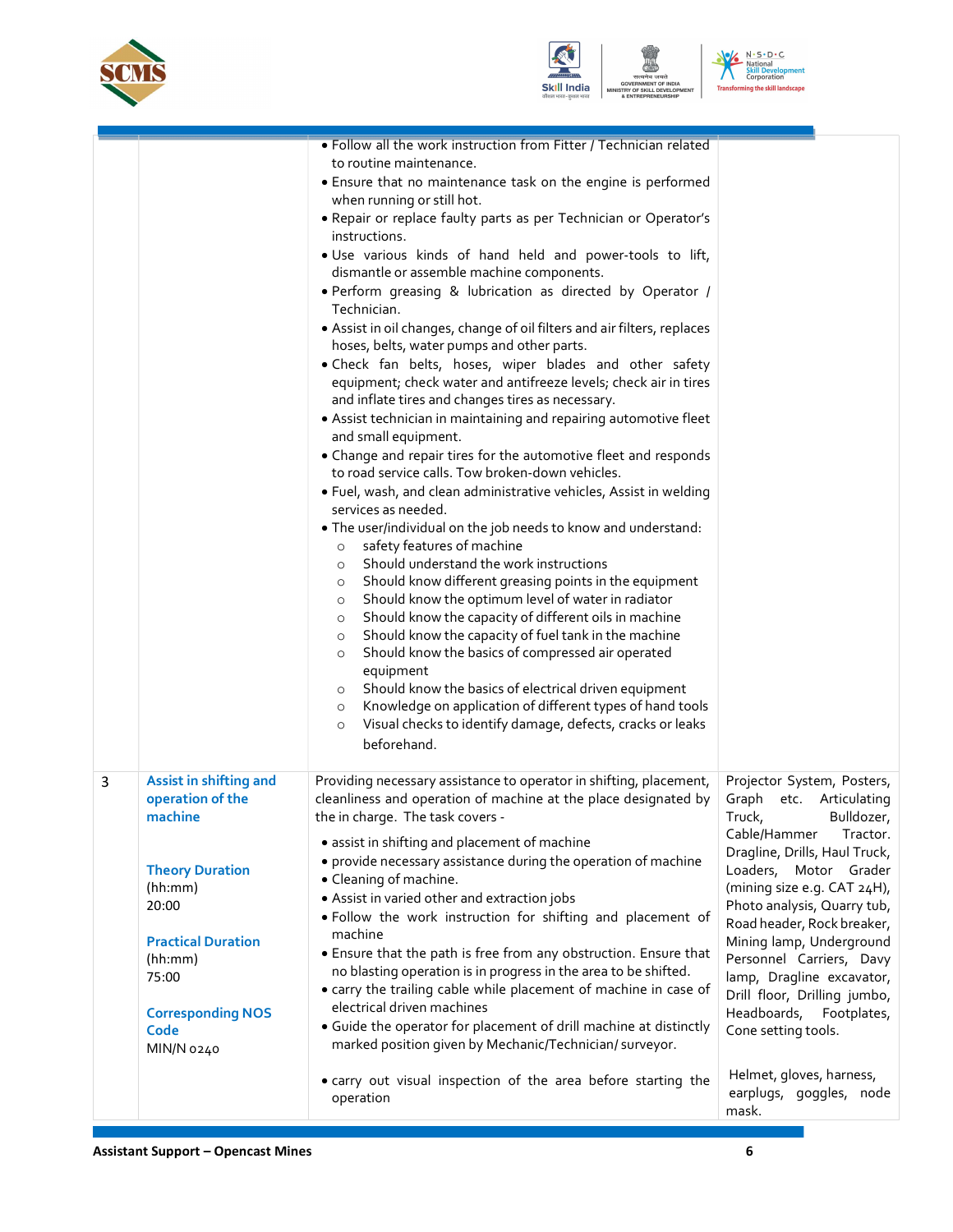





| . Follow all the work instruction from Fitter / Technician related<br>to routine maintenance.<br>• Ensure that no maintenance task on the engine is performed<br>when running or still hot.<br>. Repair or replace faulty parts as per Technician or Operator's<br>instructions.<br>. Use various kinds of hand held and power-tools to lift,<br>dismantle or assemble machine components.<br>. Perform greasing & lubrication as directed by Operator /<br>Technician.<br>• Assist in oil changes, change of oil filters and air filters, replaces<br>hoses, belts, water pumps and other parts.<br>. Check fan belts, hoses, wiper blades and other safety<br>equipment; check water and antifreeze levels; check air in tires<br>and inflate tires and changes tires as necessary.<br>• Assist technician in maintaining and repairing automotive fleet<br>and small equipment.<br>• Change and repair tires for the automotive fleet and responds<br>to road service calls. Tow broken-down vehicles.<br>. Fuel, wash, and clean administrative vehicles, Assist in welding<br>services as needed.<br>. The user/individual on the job needs to know and understand:<br>safety features of machine<br>$\circ$<br>Should understand the work instructions<br>$\circ$<br>Should know different greasing points in the equipment<br>$\circ$<br>Should know the optimum level of water in radiator<br>$\circ$<br>Should know the capacity of different oils in machine<br>$\circ$<br>Should know the capacity of fuel tank in the machine<br>$\circ$<br>Should know the basics of compressed air operated<br>$\circ$<br>equipment<br>Should know the basics of electrical driven equipment<br>$\circ$<br>Knowledge on application of different types of hand tools<br>$\circ$<br>Visual checks to identify damage, defects, cracks or leaks<br>$\circ$<br>beforehand.<br>Assist in shifting and<br>Providing necessary assistance to operator in shifting, placement,<br>Projector System, Posters,<br>3<br>operation of the<br>cleanliness and operation of machine at the place designated by<br>Graph etc. Articulating<br>machine<br>the in charge. The task covers -<br>Truck,<br>Bulldozer,<br>Cable/Hammer<br>Tractor.<br>• assist in shifting and placement of machine<br>Dragline, Drills, Haul Truck,<br>• provide necessary assistance during the operation of machine<br><b>Theory Duration</b><br>Loaders, Motor Grader<br>• Cleaning of machine.<br>(mining size e.g. CAT 24H),<br>(hh:mm)<br>• Assist in varied other and extraction jobs<br>Photo analysis, Quarry tub,<br>20:00<br>. Follow the work instruction for shifting and placement of<br>Road header, Rock breaker,<br>machine<br>Mining lamp, Underground<br><b>Practical Duration</b><br>• Ensure that the path is free from any obstruction. Ensure that<br>Personnel Carriers, Davy<br>(hh:mm)<br>no blasting operation is in progress in the area to be shifted.<br>lamp, Dragline excavator,<br>75:00<br>• carry the trailing cable while placement of machine in case of<br>Drill floor, Drilling jumbo,<br>electrical driven machines<br><b>Corresponding NOS</b><br>Headboards, Footplates,<br>• Guide the operator for placement of drill machine at distinctly<br>Cone setting tools.<br>Code<br>marked position given by Mechanic/Technician/ surveyor.<br>MIN/N 0240<br>Helmet, gloves, harness,<br>• carry out visual inspection of the area before starting the<br>earplugs, goggles, node<br>operation<br>mask. |  |  |
|-----------------------------------------------------------------------------------------------------------------------------------------------------------------------------------------------------------------------------------------------------------------------------------------------------------------------------------------------------------------------------------------------------------------------------------------------------------------------------------------------------------------------------------------------------------------------------------------------------------------------------------------------------------------------------------------------------------------------------------------------------------------------------------------------------------------------------------------------------------------------------------------------------------------------------------------------------------------------------------------------------------------------------------------------------------------------------------------------------------------------------------------------------------------------------------------------------------------------------------------------------------------------------------------------------------------------------------------------------------------------------------------------------------------------------------------------------------------------------------------------------------------------------------------------------------------------------------------------------------------------------------------------------------------------------------------------------------------------------------------------------------------------------------------------------------------------------------------------------------------------------------------------------------------------------------------------------------------------------------------------------------------------------------------------------------------------------------------------------------------------------------------------------------------------------------------------------------------------------------------------------------------------------------------------------------------------------------------------------------------------------------------------------------------------------------------------------------------------------------------------------------------------------------------------------------------------------------------------------------------------------------------------------------------------------------------------------------------------------------------------------------------------------------------------------------------------------------------------------------------------------------------------------------------------------------------------------------------------------------------------------------------------------------------------------------------------------------------------------------------------------------------------------------------------------------------------------------------------------------------------------------------------------------------------------------------------------------------------------------------------------------------------------------------------------------------------------------------------------------------------------------|--|--|
|                                                                                                                                                                                                                                                                                                                                                                                                                                                                                                                                                                                                                                                                                                                                                                                                                                                                                                                                                                                                                                                                                                                                                                                                                                                                                                                                                                                                                                                                                                                                                                                                                                                                                                                                                                                                                                                                                                                                                                                                                                                                                                                                                                                                                                                                                                                                                                                                                                                                                                                                                                                                                                                                                                                                                                                                                                                                                                                                                                                                                                                                                                                                                                                                                                                                                                                                                                                                                                                                                                           |  |  |
|                                                                                                                                                                                                                                                                                                                                                                                                                                                                                                                                                                                                                                                                                                                                                                                                                                                                                                                                                                                                                                                                                                                                                                                                                                                                                                                                                                                                                                                                                                                                                                                                                                                                                                                                                                                                                                                                                                                                                                                                                                                                                                                                                                                                                                                                                                                                                                                                                                                                                                                                                                                                                                                                                                                                                                                                                                                                                                                                                                                                                                                                                                                                                                                                                                                                                                                                                                                                                                                                                                           |  |  |
|                                                                                                                                                                                                                                                                                                                                                                                                                                                                                                                                                                                                                                                                                                                                                                                                                                                                                                                                                                                                                                                                                                                                                                                                                                                                                                                                                                                                                                                                                                                                                                                                                                                                                                                                                                                                                                                                                                                                                                                                                                                                                                                                                                                                                                                                                                                                                                                                                                                                                                                                                                                                                                                                                                                                                                                                                                                                                                                                                                                                                                                                                                                                                                                                                                                                                                                                                                                                                                                                                                           |  |  |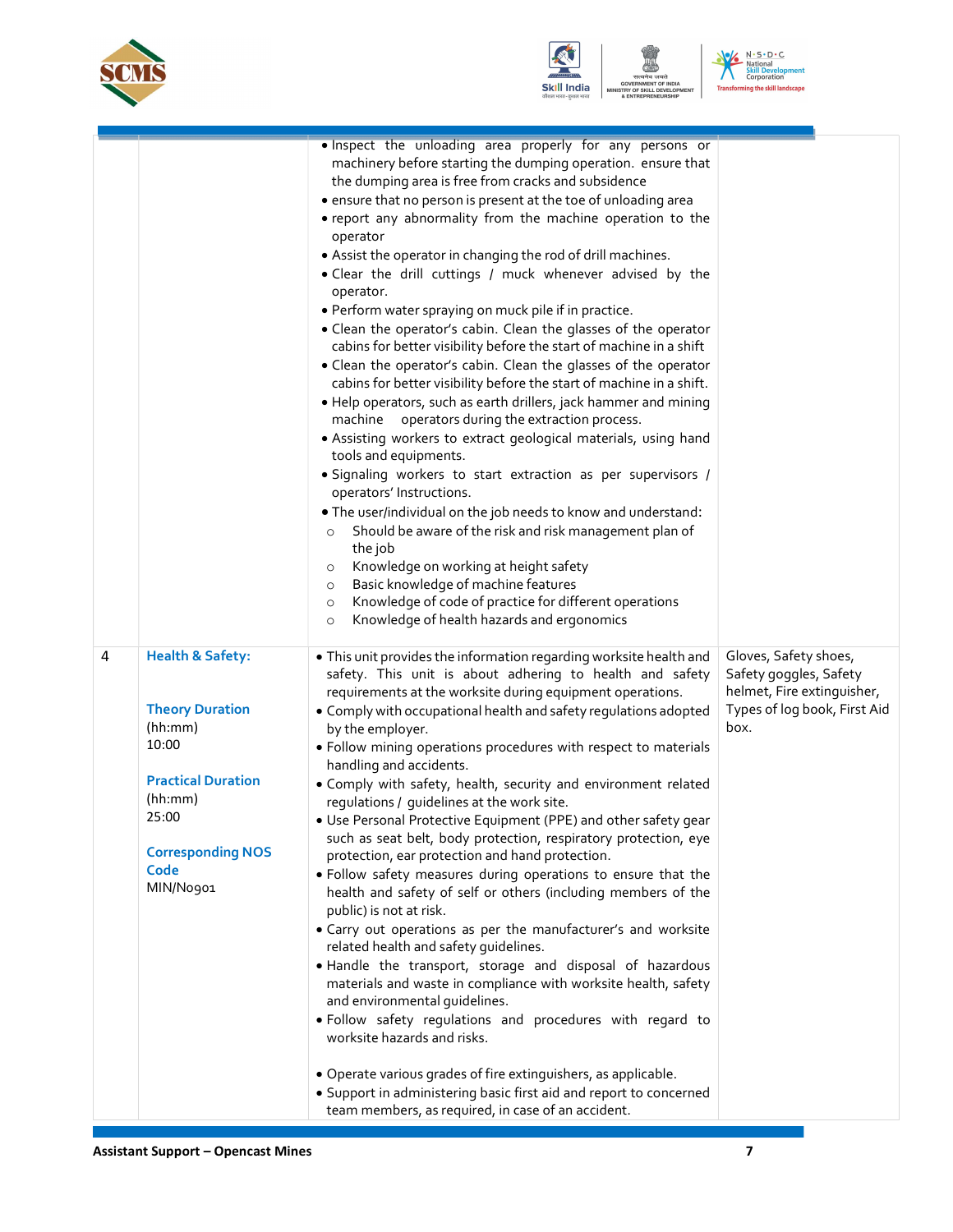





| <b>Health &amp; Safety:</b><br>. This unit provides the information regarding worksite health and<br>Gloves, Safety shoes,<br>4<br>safety. This unit is about adhering to health and safety<br>Safety goggles, Safety<br>helmet, Fire extinguisher,<br>requirements at the worksite during equipment operations.<br><b>Theory Duration</b><br>Types of log book, First Aid<br>• Comply with occupational health and safety regulations adopted<br>(hh:mm)<br>box.<br>by the employer.<br>10:00<br>· Follow mining operations procedures with respect to materials<br>handling and accidents.<br><b>Practical Duration</b><br>• Comply with safety, health, security and environment related<br>(hh:mm)<br>regulations / guidelines at the work site.<br>25:00<br>• Use Personal Protective Equipment (PPE) and other safety gear<br>such as seat belt, body protection, respiratory protection, eye<br><b>Corresponding NOS</b><br>protection, ear protection and hand protection.<br>Code<br>· Follow safety measures during operations to ensure that the<br>MIN/No901<br>health and safety of self or others (including members of the<br>public) is not at risk.<br>• Carry out operations as per the manufacturer's and worksite<br>related health and safety quidelines.<br>. Handle the transport, storage and disposal of hazardous<br>materials and waste in compliance with worksite health, safety<br>and environmental quidelines.<br>· Follow safety regulations and procedures with regard to<br>worksite hazards and risks. |  | . Inspect the unloading area properly for any persons or<br>machinery before starting the dumping operation. ensure that<br>the dumping area is free from cracks and subsidence<br>• ensure that no person is present at the toe of unloading area<br>• report any abnormality from the machine operation to the<br>operator<br>• Assist the operator in changing the rod of drill machines.<br>. Clear the drill cuttings / muck whenever advised by the<br>operator.<br>· Perform water spraying on muck pile if in practice.<br>. Clean the operator's cabin. Clean the glasses of the operator<br>cabins for better visibility before the start of machine in a shift<br>• Clean the operator's cabin. Clean the glasses of the operator<br>cabins for better visibility before the start of machine in a shift.<br>. Help operators, such as earth drillers, jack hammer and mining<br>machine operators during the extraction process.<br>• Assisting workers to extract geological materials, using hand<br>tools and equipments.<br>· Signaling workers to start extraction as per supervisors /<br>operators' Instructions.<br>. The user/individual on the job needs to know and understand:<br>Should be aware of the risk and risk management plan of<br>$\circ$<br>the job<br>Knowledge on working at height safety<br>$\circ$<br>Basic knowledge of machine features<br>$\circ$<br>Knowledge of code of practice for different operations<br>$\circ$<br>Knowledge of health hazards and ergonomics<br>$\circ$ |  |
|--------------------------------------------------------------------------------------------------------------------------------------------------------------------------------------------------------------------------------------------------------------------------------------------------------------------------------------------------------------------------------------------------------------------------------------------------------------------------------------------------------------------------------------------------------------------------------------------------------------------------------------------------------------------------------------------------------------------------------------------------------------------------------------------------------------------------------------------------------------------------------------------------------------------------------------------------------------------------------------------------------------------------------------------------------------------------------------------------------------------------------------------------------------------------------------------------------------------------------------------------------------------------------------------------------------------------------------------------------------------------------------------------------------------------------------------------------------------------------------------------------------------------------------------|--|-----------------------------------------------------------------------------------------------------------------------------------------------------------------------------------------------------------------------------------------------------------------------------------------------------------------------------------------------------------------------------------------------------------------------------------------------------------------------------------------------------------------------------------------------------------------------------------------------------------------------------------------------------------------------------------------------------------------------------------------------------------------------------------------------------------------------------------------------------------------------------------------------------------------------------------------------------------------------------------------------------------------------------------------------------------------------------------------------------------------------------------------------------------------------------------------------------------------------------------------------------------------------------------------------------------------------------------------------------------------------------------------------------------------------------------------------------------------------------------------------------------------------------|--|
| • Operate various grades of fire extinguishers, as applicable.<br>• Support in administering basic first aid and report to concerned                                                                                                                                                                                                                                                                                                                                                                                                                                                                                                                                                                                                                                                                                                                                                                                                                                                                                                                                                                                                                                                                                                                                                                                                                                                                                                                                                                                                       |  |                                                                                                                                                                                                                                                                                                                                                                                                                                                                                                                                                                                                                                                                                                                                                                                                                                                                                                                                                                                                                                                                                                                                                                                                                                                                                                                                                                                                                                                                                                                             |  |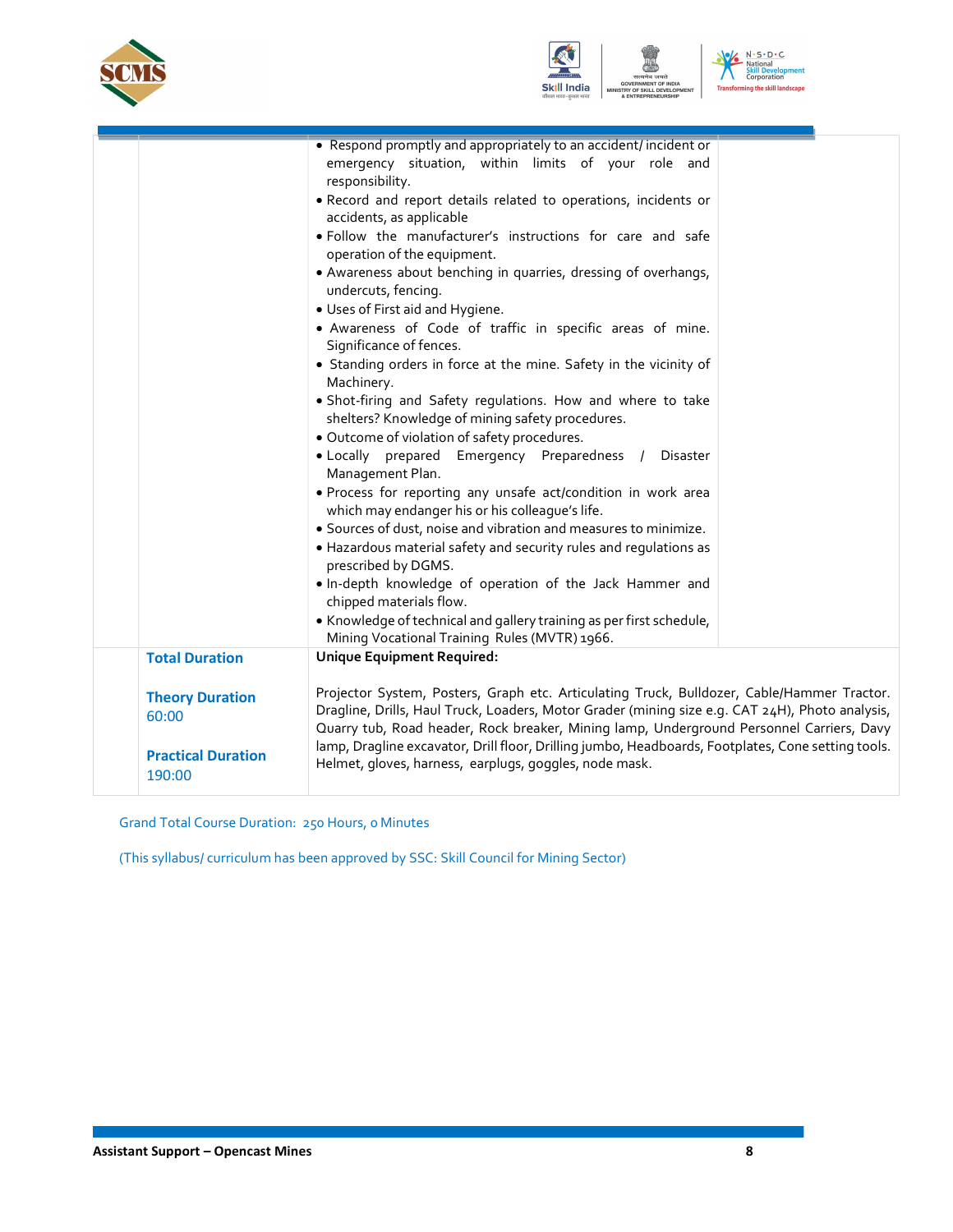





|                           | • Respond promptly and appropriately to an accident/incident or                                    |  |
|---------------------------|----------------------------------------------------------------------------------------------------|--|
|                           | emergency situation, within limits of your role and                                                |  |
|                           | responsibility.                                                                                    |  |
|                           | . Record and report details related to operations, incidents or                                    |  |
|                           | accidents, as applicable                                                                           |  |
|                           | . Follow the manufacturer's instructions for care and safe                                         |  |
|                           | operation of the equipment.                                                                        |  |
|                           | • Awareness about benching in quarries, dressing of overhangs,                                     |  |
|                           | undercuts, fencing.                                                                                |  |
|                           | • Uses of First aid and Hygiene.                                                                   |  |
|                           | · Awareness of Code of traffic in specific areas of mine.                                          |  |
|                           | Significance of fences.                                                                            |  |
|                           | • Standing orders in force at the mine. Safety in the vicinity of                                  |  |
|                           | Machinery.                                                                                         |  |
|                           | · Shot-firing and Safety regulations. How and where to take                                        |  |
|                           | shelters? Knowledge of mining safety procedures.                                                   |  |
|                           | · Outcome of violation of safety procedures.                                                       |  |
|                           | · Locally prepared Emergency Preparedness /<br>Disaster                                            |  |
|                           | Management Plan.                                                                                   |  |
|                           | · Process for reporting any unsafe act/condition in work area                                      |  |
|                           | which may endanger his or his colleague's life.                                                    |  |
|                           | • Sources of dust, noise and vibration and measures to minimize.                                   |  |
|                           | • Hazardous material safety and security rules and regulations as                                  |  |
|                           | prescribed by DGMS.                                                                                |  |
|                           | . In-depth knowledge of operation of the Jack Hammer and                                           |  |
|                           | chipped materials flow.                                                                            |  |
|                           | • Knowledge of technical and gallery training as per first schedule,                               |  |
|                           | Mining Vocational Training Rules (MVTR) 1966.                                                      |  |
| <b>Total Duration</b>     | <b>Unique Equipment Required:</b>                                                                  |  |
|                           |                                                                                                    |  |
| <b>Theory Duration</b>    | Projector System, Posters, Graph etc. Articulating Truck, Bulldozer, Cable/Hammer Tractor.         |  |
| 60:00                     | Dragline, Drills, Haul Truck, Loaders, Motor Grader (mining size e.g. CAT 24H), Photo analysis,    |  |
|                           | Quarry tub, Road header, Rock breaker, Mining lamp, Underground Personnel Carriers, Davy           |  |
|                           | lamp, Dragline excavator, Drill floor, Drilling jumbo, Headboards, Footplates, Cone setting tools. |  |
| <b>Practical Duration</b> | Helmet, gloves, harness, earplugs, goggles, node mask.                                             |  |
| 190:00                    |                                                                                                    |  |

Grand Total Course Duration: 250 Hours, 0 Minutes

(This syllabus/ curriculum has been approved by SSC: Skill Council for Mining Sector)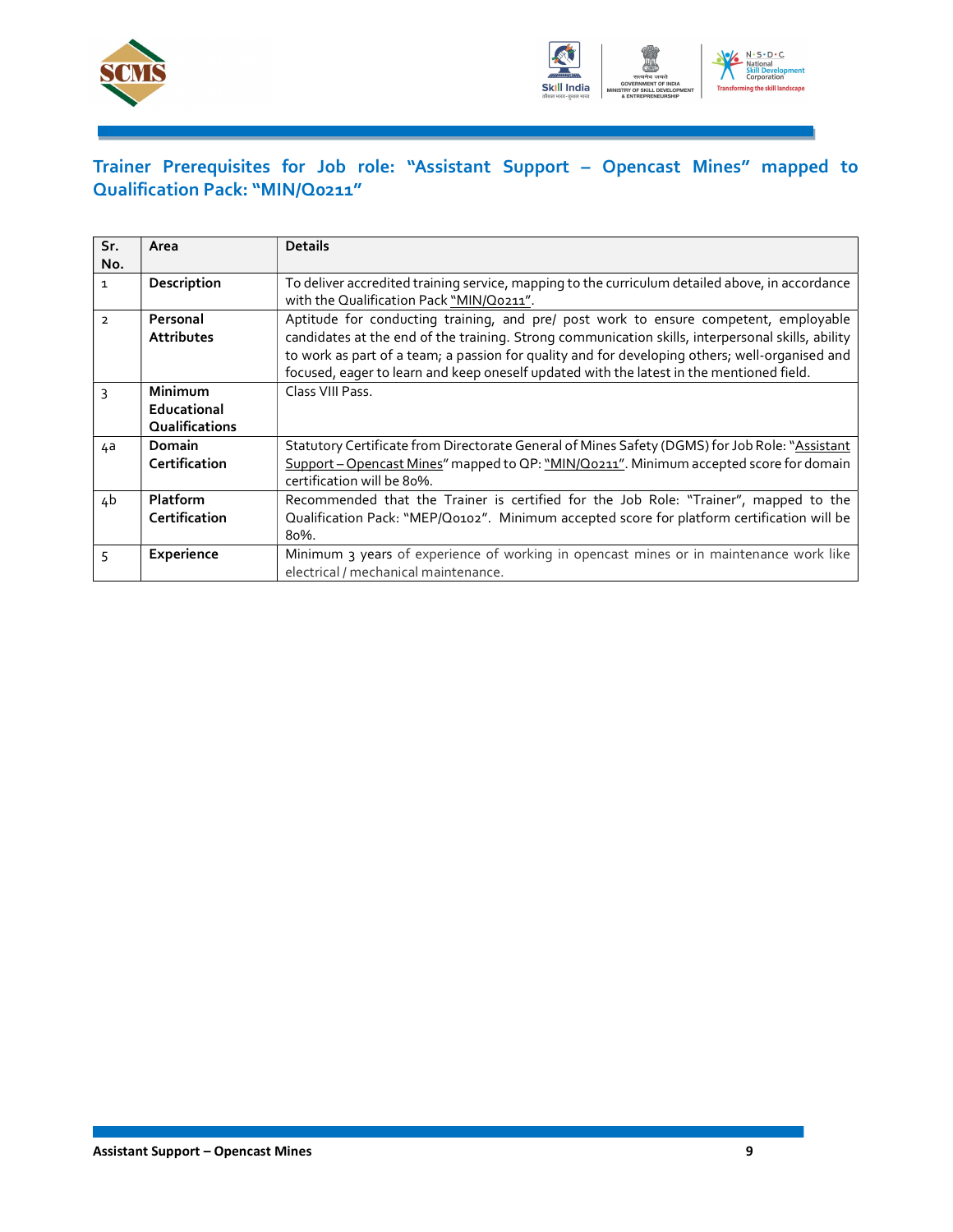



### Trainer Prerequisites for Job role: "Assistant Support – Opencast Mines" mapped to Qualification Pack: "MIN/Q0211"

| Sr.<br>No.     | Area                                     | <b>Details</b>                                                                                                                                                                                                                                                                                                                                                                          |
|----------------|------------------------------------------|-----------------------------------------------------------------------------------------------------------------------------------------------------------------------------------------------------------------------------------------------------------------------------------------------------------------------------------------------------------------------------------------|
| $\mathbf{1}$   | Description                              | To deliver accredited training service, mapping to the curriculum detailed above, in accordance<br>with the Qualification Pack "MIN/Q0211".                                                                                                                                                                                                                                             |
| $\overline{2}$ | Personal<br><b>Attributes</b>            | Aptitude for conducting training, and pre/ post work to ensure competent, employable<br>candidates at the end of the training. Strong communication skills, interpersonal skills, ability<br>to work as part of a team; a passion for quality and for developing others; well-organised and<br>focused, eager to learn and keep oneself updated with the latest in the mentioned field. |
| $\mathbf{3}$   | Minimum<br>Educational<br>Qualifications | Class VIII Pass.                                                                                                                                                                                                                                                                                                                                                                        |
| 4a             | <b>Domain</b><br>Certification           | Statutory Certificate from Directorate General of Mines Safety (DGMS) for Job Role: "Assistant<br>Support - Opencast Mines" mapped to QP: "MIN/Q0211". Minimum accepted score for domain<br>certification will be 80%.                                                                                                                                                                  |
| 4b             | <b>Platform</b><br>Certification         | Recommended that the Trainer is certified for the Job Role: "Trainer", mapped to the<br>Qualification Pack: "MEP/Q0102". Minimum accepted score for platform certification will be<br>80%.                                                                                                                                                                                              |
|                | Experience                               | Minimum 3 years of experience of working in opencast mines or in maintenance work like<br>electrical / mechanical maintenance.                                                                                                                                                                                                                                                          |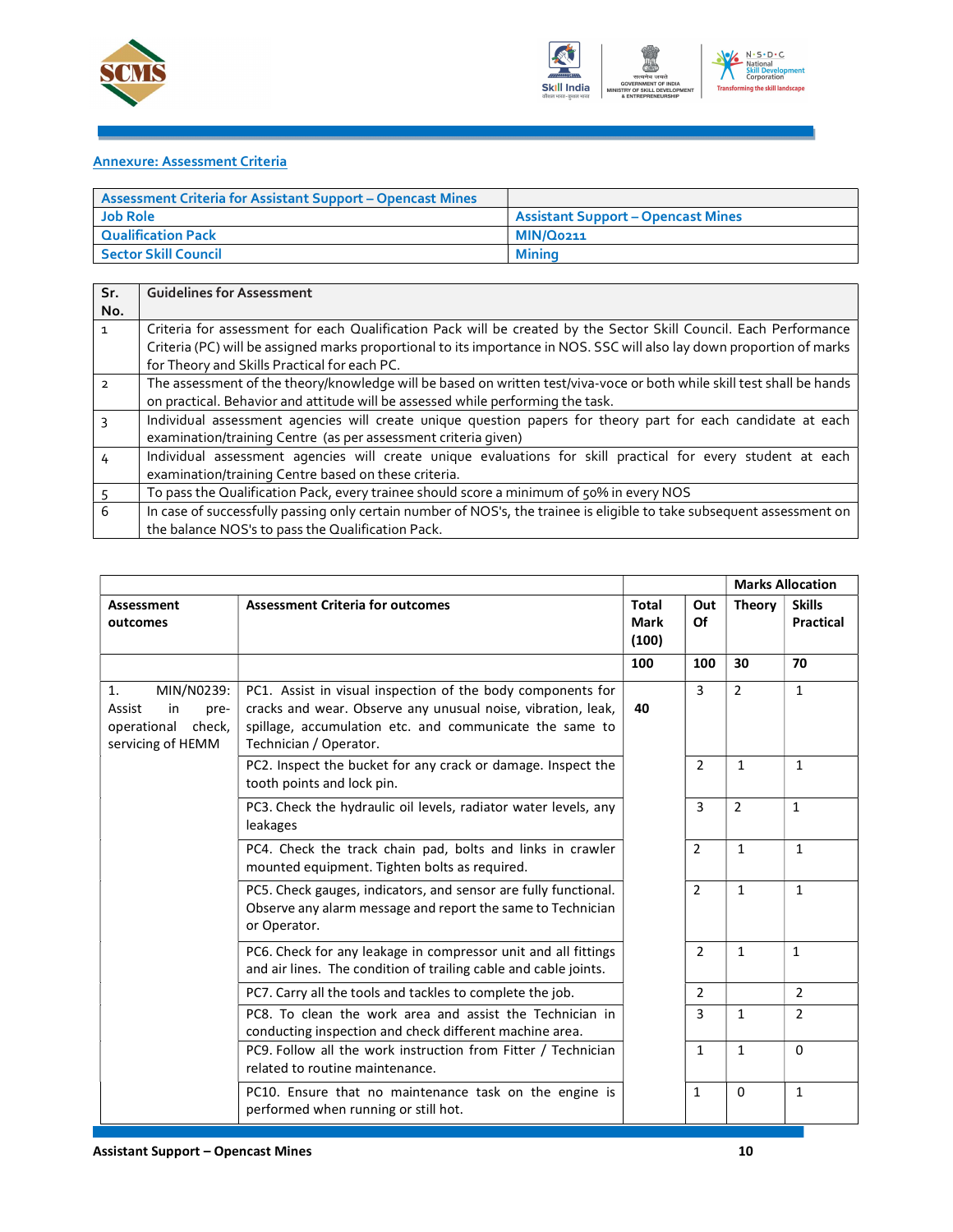



#### Annexure: Assessment Criteria

| <b>Assessment Criteria for Assistant Support - Opencast Mines</b> |                                           |
|-------------------------------------------------------------------|-------------------------------------------|
| <b>Job Role</b>                                                   | <b>Assistant Support – Opencast Mines</b> |
| <b>Qualification Pack</b>                                         | <b>MIN/Q0211</b>                          |
| <b>Sector Skill Council</b>                                       | Minina                                    |

| Sr.           | <b>Guidelines for Assessment</b>                                                                                       |
|---------------|------------------------------------------------------------------------------------------------------------------------|
| No.           |                                                                                                                        |
| $\mathbf{1}$  | Criteria for assessment for each Qualification Pack will be created by the Sector Skill Council. Each Performance      |
|               | Criteria (PC) will be assigned marks proportional to its importance in NOS. SSC will also lay down proportion of marks |
|               | for Theory and Skills Practical for each PC.                                                                           |
| $\mathcal{P}$ | The assessment of the theory/knowledge will be based on written test/viva-voce or both while skill test shall be hands |
|               | on practical. Behavior and attitude will be assessed while performing the task.                                        |
|               | Individual assessment agencies will create unique question papers for theory part for each candidate at each           |
|               | examination/training Centre (as per assessment criteria given)                                                         |
| 4             | Individual assessment agencies will create unique evaluations for skill practical for every student at each            |
|               | examination/training Centre based on these criteria.                                                                   |
|               | To pass the Qualification Pack, every trainee should score a minimum of 50% in every NOS                               |
| 6             | In case of successfully passing only certain number of NOS's, the trainee is eligible to take subsequent assessment on |
|               | the balance NOS's to pass the Qualification Pack.                                                                      |

|                                                                                        |                                                                                                                                                                                                                  |                                      |                |                | <b>Marks Allocation</b>           |
|----------------------------------------------------------------------------------------|------------------------------------------------------------------------------------------------------------------------------------------------------------------------------------------------------------------|--------------------------------------|----------------|----------------|-----------------------------------|
| Assessment<br>outcomes                                                                 | <b>Assessment Criteria for outcomes</b>                                                                                                                                                                          | <b>Total</b><br><b>Mark</b><br>(100) | Out<br>Of      | <b>Theory</b>  | <b>Skills</b><br><b>Practical</b> |
|                                                                                        |                                                                                                                                                                                                                  | 100                                  | 100            | 30             | 70                                |
| MIN/N0239:<br>1.<br>Assist<br>in<br>pre-<br>operational<br>check,<br>servicing of HEMM | PC1. Assist in visual inspection of the body components for<br>cracks and wear. Observe any unusual noise, vibration, leak,<br>spillage, accumulation etc. and communicate the same to<br>Technician / Operator. | 40                                   | 3              | 2              | $\mathbf{1}$                      |
|                                                                                        | PC2. Inspect the bucket for any crack or damage. Inspect the<br>tooth points and lock pin.                                                                                                                       |                                      | 2              | 1              | $\mathbf{1}$                      |
|                                                                                        | PC3. Check the hydraulic oil levels, radiator water levels, any<br>leakages                                                                                                                                      |                                      | 3              | $\overline{2}$ | $\mathbf{1}$                      |
|                                                                                        | PC4. Check the track chain pad, bolts and links in crawler<br>mounted equipment. Tighten bolts as required.                                                                                                      |                                      | $\overline{2}$ | $\mathbf{1}$   | $\mathbf{1}$                      |
|                                                                                        | PC5. Check gauges, indicators, and sensor are fully functional.<br>Observe any alarm message and report the same to Technician<br>or Operator.                                                                   |                                      | $\overline{2}$ | $\mathbf{1}$   | $\mathbf{1}$                      |
|                                                                                        | PC6. Check for any leakage in compressor unit and all fittings<br>and air lines. The condition of trailing cable and cable joints.                                                                               |                                      | 2              | $\mathbf{1}$   | $\mathbf{1}$                      |
|                                                                                        | PC7. Carry all the tools and tackles to complete the job.                                                                                                                                                        |                                      | 2              |                | $\overline{2}$                    |
|                                                                                        | PC8. To clean the work area and assist the Technician in<br>conducting inspection and check different machine area.                                                                                              |                                      | 3              | $\mathbf{1}$   | 2                                 |
|                                                                                        | PC9. Follow all the work instruction from Fitter / Technician<br>related to routine maintenance.                                                                                                                 |                                      | $\mathbf{1}$   | 1              | $\Omega$                          |
|                                                                                        | PC10. Ensure that no maintenance task on the engine is<br>performed when running or still hot.                                                                                                                   |                                      | 1              | 0              | $\mathbf{1}$                      |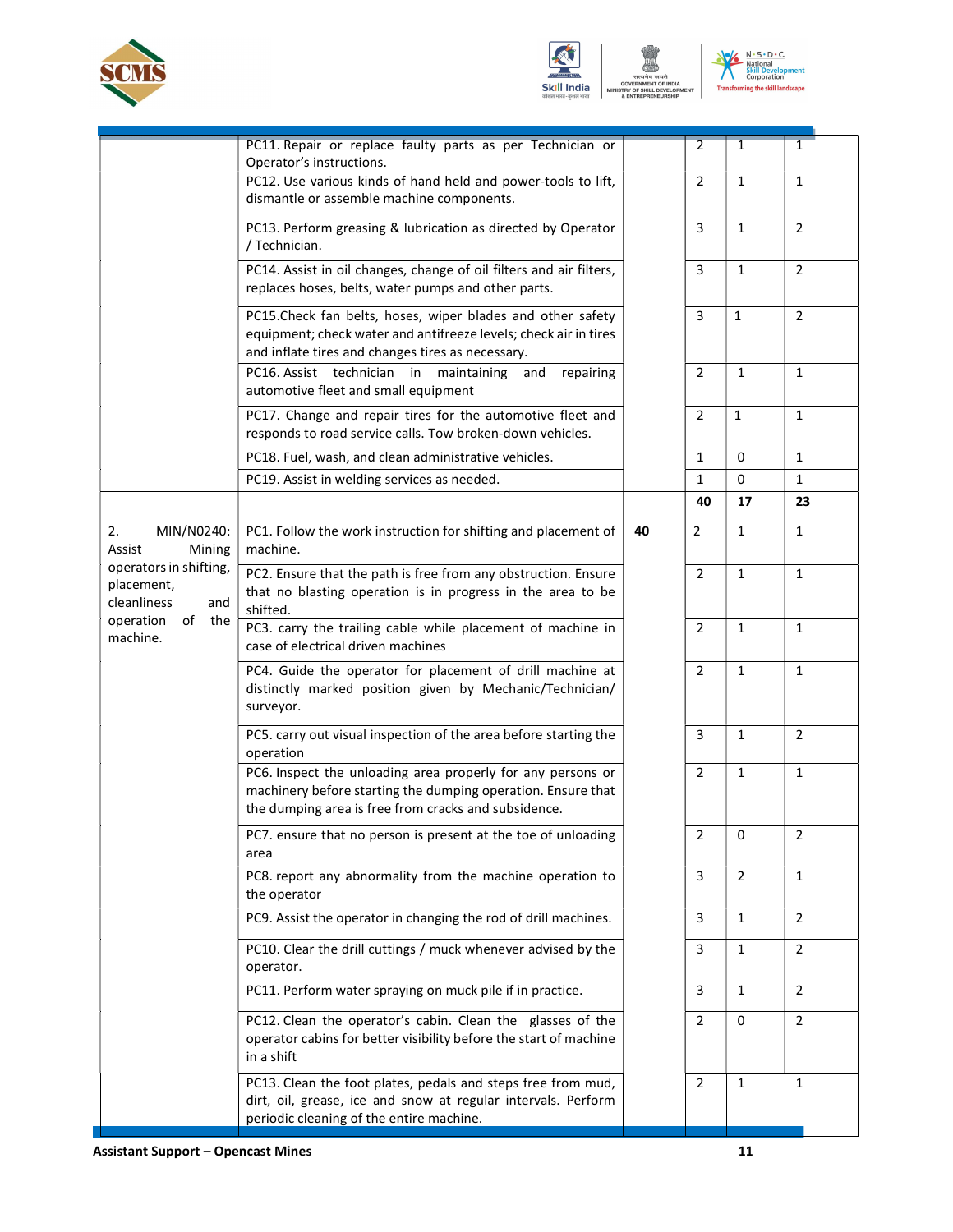





|                                                            | PC11. Repair or replace faulty parts as per Technician or<br>Operator's instructions.                                                                                                |    | 2              | 1              | 1              |
|------------------------------------------------------------|--------------------------------------------------------------------------------------------------------------------------------------------------------------------------------------|----|----------------|----------------|----------------|
|                                                            | PC12. Use various kinds of hand held and power-tools to lift,<br>dismantle or assemble machine components.                                                                           |    | 2              | $\mathbf{1}$   | $\mathbf{1}$   |
|                                                            | PC13. Perform greasing & lubrication as directed by Operator<br>/ Technician.                                                                                                        |    | $\overline{3}$ | $\mathbf{1}$   | $\overline{2}$ |
|                                                            | PC14. Assist in oil changes, change of oil filters and air filters,<br>replaces hoses, belts, water pumps and other parts.                                                           |    | $\overline{3}$ | $\mathbf{1}$   | $\overline{2}$ |
|                                                            | PC15. Check fan belts, hoses, wiper blades and other safety<br>equipment; check water and antifreeze levels; check air in tires<br>and inflate tires and changes tires as necessary. |    | $\overline{3}$ | $\mathbf{1}$   | $\overline{2}$ |
|                                                            | PC16. Assist technician in<br>maintaining<br>and<br>repairing<br>automotive fleet and small equipment                                                                                |    | 2              | $\mathbf{1}$   | $\mathbf{1}$   |
|                                                            | PC17. Change and repair tires for the automotive fleet and<br>responds to road service calls. Tow broken-down vehicles.                                                              |    | $\overline{2}$ | $\mathbf{1}$   | $\mathbf{1}$   |
|                                                            | PC18. Fuel, wash, and clean administrative vehicles.                                                                                                                                 |    | $\mathbf{1}$   | 0              | $\mathbf{1}$   |
|                                                            | PC19. Assist in welding services as needed.                                                                                                                                          |    | $\mathbf{1}$   | $\mathbf 0$    | $\mathbf{1}$   |
|                                                            |                                                                                                                                                                                      |    | 40             | 17             | 23             |
| MIN/N0240:<br>2.<br>Assist<br>Mining                       | PC1. Follow the work instruction for shifting and placement of<br>machine.                                                                                                           | 40 | 2              | $\mathbf{1}$   | $\mathbf{1}$   |
| operators in shifting,<br>placement,<br>cleanliness<br>and | PC2. Ensure that the path is free from any obstruction. Ensure<br>that no blasting operation is in progress in the area to be<br>shifted.                                            |    | $\overline{2}$ | $\mathbf{1}$   | $\mathbf{1}$   |
| operation of<br>the<br>machine.                            | PC3. carry the trailing cable while placement of machine in<br>case of electrical driven machines                                                                                    |    | $\overline{2}$ | $\mathbf{1}$   | $\mathbf{1}$   |
|                                                            | PC4. Guide the operator for placement of drill machine at<br>distinctly marked position given by Mechanic/Technician/<br>surveyor.                                                   |    | $\overline{2}$ | $\mathbf{1}$   | $\mathbf{1}$   |
|                                                            | PC5. carry out visual inspection of the area before starting the<br>operation                                                                                                        |    | $\overline{3}$ | $\mathbf{1}$   | $\overline{2}$ |
|                                                            | PC6. Inspect the unloading area properly for any persons or<br>machinery before starting the dumping operation. Ensure that<br>the dumping area is free from cracks and subsidence.  |    | $\overline{2}$ | $\mathbf{1}$   | 1              |
|                                                            | PC7. ensure that no person is present at the toe of unloading<br>area                                                                                                                |    | $\overline{2}$ | 0              | 2              |
|                                                            | PC8. report any abnormality from the machine operation to<br>the operator                                                                                                            |    | $\overline{3}$ | $\overline{2}$ | $\mathbf{1}$   |
|                                                            | PC9. Assist the operator in changing the rod of drill machines.                                                                                                                      |    | $\overline{3}$ | $\mathbf{1}$   | $\overline{2}$ |
|                                                            | PC10. Clear the drill cuttings / muck whenever advised by the<br>operator.                                                                                                           |    | $\overline{3}$ | $\mathbf{1}$   | $\overline{2}$ |
|                                                            | PC11. Perform water spraying on muck pile if in practice.                                                                                                                            |    | 3              | $\mathbf{1}$   | $\overline{2}$ |
|                                                            | PC12. Clean the operator's cabin. Clean the glasses of the<br>operator cabins for better visibility before the start of machine<br>in a shift                                        |    | $\overline{2}$ | $\mathbf 0$    | $\overline{2}$ |
|                                                            | PC13. Clean the foot plates, pedals and steps free from mud,<br>dirt, oil, grease, ice and snow at regular intervals. Perform<br>periodic cleaning of the entire machine.            |    | $\overline{2}$ | $\mathbf{1}$   | $\mathbf{1}$   |